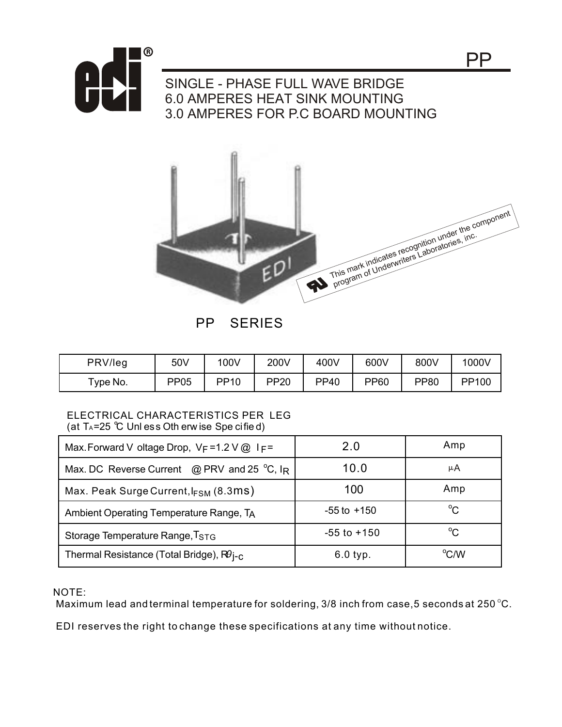

## SINGLE - PHASE FULL WAVE BRIDGE 6.0 AMPERES HEAT SINK MOUNTING 3.0 AMPERES FOR P.C BOARD MOUNTING



PP SERIES

| PRV/leg  | 50V  | 100V        | 200V        | 400V        | 600V        | 800V        | 1000V |
|----------|------|-------------|-------------|-------------|-------------|-------------|-------|
| Type No. | PP05 | <b>PP10</b> | <b>PP20</b> | <b>PP40</b> | <b>PP60</b> | <b>PP80</b> | PP100 |

## ELECTRICAL CHARACTERISTICS PER LEG (at  $T_A$ =25 °C Unl ess Oth erw ise Spe cified)

| Max. Forward V oltage Drop, VF=1.2 V @ IF=           | 2.0             | Amp          |  |
|------------------------------------------------------|-----------------|--------------|--|
| Max. DC Reverse Current $\oslash$ PRV and 25 °C, IR  | 10.0            | μA           |  |
| Max. Peak Surge Current, $I_{FSM}$ (8.3ms)           | 100             | Amp          |  |
| Ambient Operating Temperature Range, TA              | $-55$ to $+150$ | $^{\circ}$ C |  |
| Storage Temperature Range, T <sub>STG</sub>          | $-55$ to $+150$ | $^{\circ}$ C |  |
| Thermal Resistance (Total Bridge), RO <sub>j-C</sub> | $6.0$ typ.      | °CM          |  |

NOTE:

Maximum lead and terminal temperature for soldering,  $3/8$  inch from case, 5 seconds at 250 °C.

EDI reserves the right to change these specifications at any time without notice.

PP